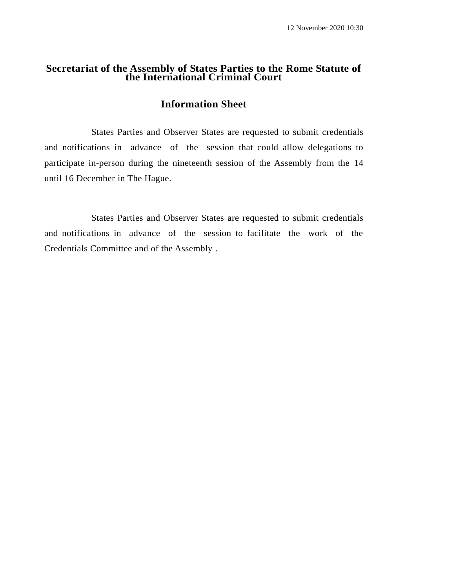### **Secretariat of the Assembly of States Parties to the Rome Statute of the International Criminal Court**

## **Information Sheet**

States Parties and Observer States are requested to submit credentials and notifications in advance of the session that could allow delegations to participate in-person during the nineteenth session of the Assembly from the 14 until 16 December in The Hague.

States Parties and Observer States are requested to submit credentials and notifications in advance of the session to facilitate the work of the Credentials Committee and of the Assembly .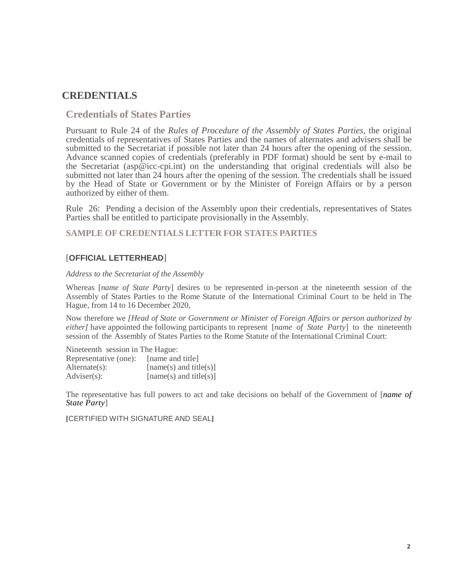# **CREDENTIALS**

### **Credentials of States Parties**

Pursuant to Rule 24 of the *Rules of Procedure of the Assembly of States Parties*, the original credentials of representatives of States Parties and the names of alternates and advisers shall be submitted to the Secretariat if possible not later than 24 hours after the opening of the session. Advance scanned copies of credentials (preferably in PDF format) should be sent by e-mail to the Secretariat (asp@icc-cpi.int) on the understanding that original credentials will also be submitted not later than 24 hours after the opening of the session. The credentials shall be issued by the Head of State or Government or by the Minister of Foreign Affairs or by a person authorized by either of them.

Rule 26: Pending a decision of the Assembly upon their credentials, representatives of States Parties shall be entitled to participate provisionally in the Assembly.

**SAMPLE OF CREDENTIALS LETTER FOR STATES PARTIES**

### [**OFFICIAL LETTERHEAD**]

#### *Address to the Secretariat of the Assembly*

Whereas [*name of State Party*] desires to be represented in-person at the nineteenth session of the Assembly of States Parties to the Rome Statute of the International Criminal Court to be held in The Hague, from 14 to 16 December 2020,

Now therefore we *[Head of State or Government or Minister of Foreign Affairs or person authorized by either]* have appointed the following participants to represent [*name of State Party*] to the nineteenth session of the Assembly of States Parties to the Rome Statute of the International Criminal Court:

Nineteenth session in The Hague: Representative (one): [name and title]

| $Alternate(s)$ : | $[name(s)$ and title(s)] |
|------------------|--------------------------|
| Adviser(s):      | $[name(s)$ and title(s)] |

The representative has full powers to act and take decisions on behalf of the Government of [*name of State Party*]

**[**CERTIFIED WITH SIGNATURE AND SEAL**]**